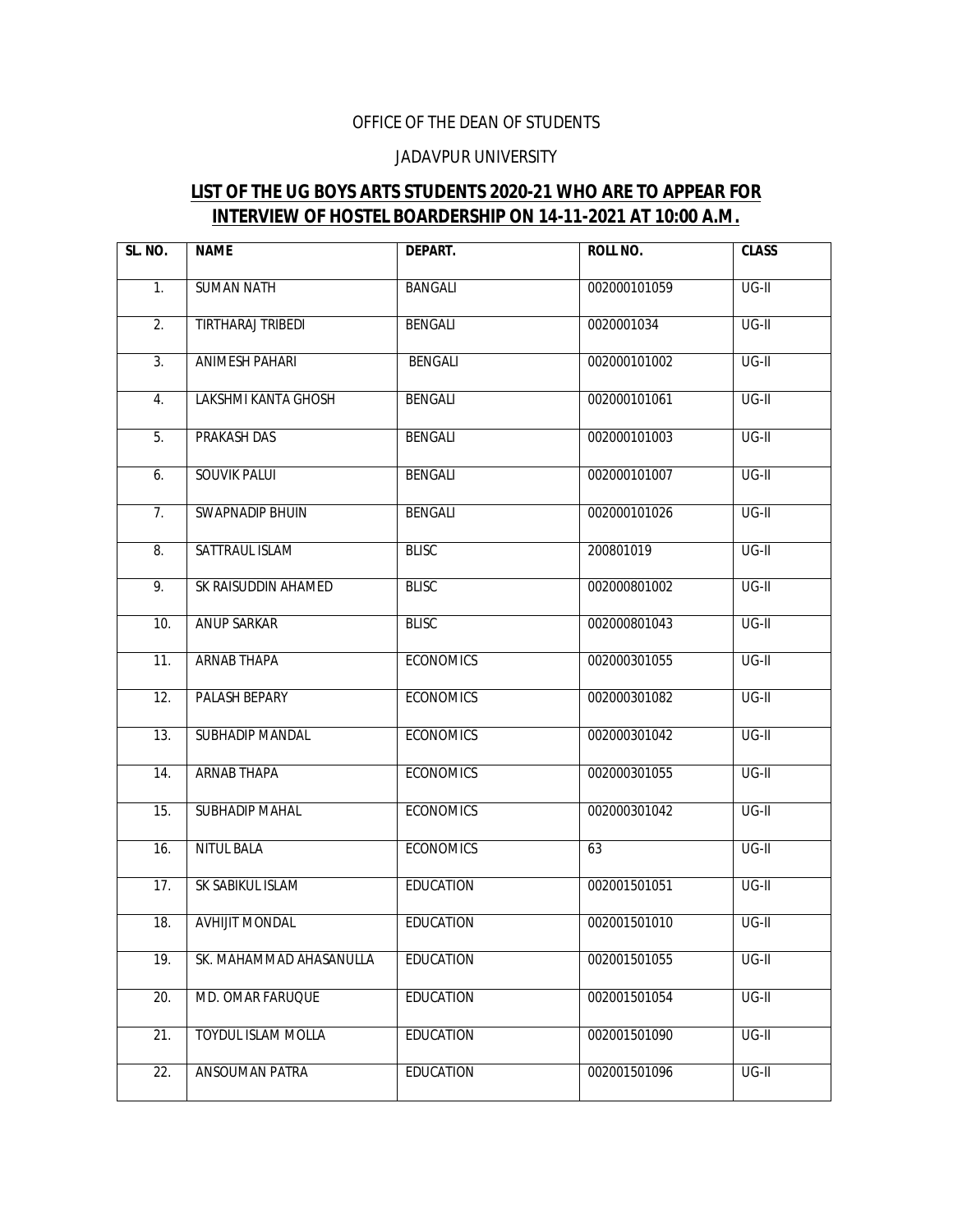## OFFICE OF THE DEAN OF STUDENTS

## JADAVPUR UNIVERSITY

## **LIST OF THE UG BOYS ARTS STUDENTS 2020-21 WHO ARE TO APPEAR FOR INTERVIEW OF HOSTEL BOARDERSHIP ON 14-11-2021 AT 10:00 A.M.**

| SL. NO.        | <b>NAME</b>             | DEPART.          | <b>ROLL NO.</b> | <b>CLASS</b>       |
|----------------|-------------------------|------------------|-----------------|--------------------|
| 1.             | <b>SUMAN NATH</b>       | <b>BANGALI</b>   | 002000101059    | $UG-II$            |
| 2.             | TIRTHARAJ TRIBEDI       | <b>BENGALI</b>   | 0020001034      | UG-II              |
| 3.             | <b>ANIMESH PAHARI</b>   | <b>BENGALI</b>   | 002000101002    | $\overline{UG-II}$ |
| 4.             | LAKSHMI KANTA GHOSH     | <b>BENGALI</b>   | 002000101061    | $UG-II$            |
| 5.             | PRAKASH DAS             | <b>BENGALI</b>   | 002000101003    | $UG-II$            |
| 6.             | <b>SOUVIK PALUI</b>     | <b>BENGALI</b>   | 002000101007    | $\overline{UG-II}$ |
| 7 <sub>1</sub> | SWAPNADIP BHUIN         | <b>BENGALI</b>   | 002000101026    | $UG-II$            |
| 8.             | SATTRAUL ISLAM          | <b>BLISC</b>     | 200801019       | $\overline{UG-II}$ |
| 9.             | SK RAISUDDIN AHAMED     | <b>BLISC</b>     | 002000801002    | $\overline{UG-II}$ |
| 10.            | ANUP SARKAR             | <b>BLISC</b>     | 002000801043    | $UG-II$            |
| 11.            | ARNAB THAPA             | <b>ECONOMICS</b> | 002000301055    | UG-II              |
| 12.            | PALASH BEPARY           | <b>ECONOMICS</b> | 002000301082    | $\overline{UG-II}$ |
| 13.            | SUBHADIP MANDAL         | <b>ECONOMICS</b> | 002000301042    | UG-II              |
| 14.            | ARNAB THAPA             | <b>ECONOMICS</b> | 002000301055    | $UG-II$            |
| 15.            | <b>SUBHADIP MAHAL</b>   | <b>ECONOMICS</b> | 002000301042    | $\overline{UG-II}$ |
| 16.            | <b>NITUL BALA</b>       | <b>ECONOMICS</b> | 63              | $UG-II$            |
| 17.            | SK SABIKUL ISLAM        | <b>EDUCATION</b> | 002001501051    | $\overline{UG-II}$ |
| 18.            | <b>AVHIJIT MONDAL</b>   | <b>EDUCATION</b> | 002001501010    | $UG-II$            |
| 19.            | SK. MAHAMMAD AHASANULLA | <b>EDUCATION</b> | 002001501055    | UG-II              |
| 20.            | MD. OMAR FARUQUE        | <b>EDUCATION</b> | 002001501054    | UG-II              |
| 21.            | TOYDUL ISLAM MOLLA      | <b>EDUCATION</b> | 002001501090    | UG-II              |
| 22.            | ANSOUMAN PATRA          | <b>EDUCATION</b> | 002001501096    | UG-II              |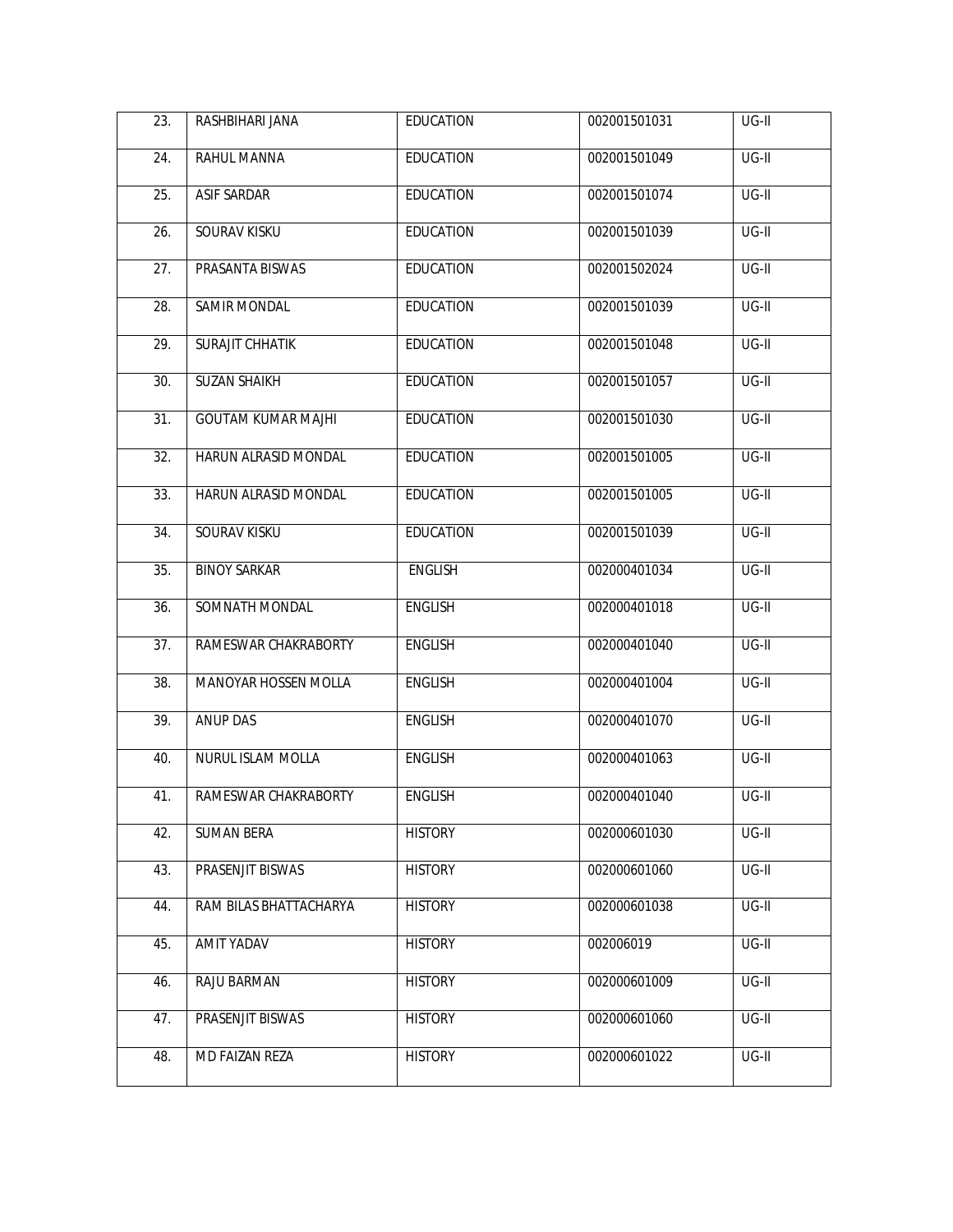| 23. | RASHBIHARI JANA           | <b>EDUCATION</b> | 002001501031 | UG-II   |
|-----|---------------------------|------------------|--------------|---------|
| 24. | <b>RAHUL MANNA</b>        | <b>EDUCATION</b> | 002001501049 | $UG-II$ |
| 25. | <b>ASIF SARDAR</b>        | <b>EDUCATION</b> | 002001501074 | $UG-II$ |
| 26. | <b>SOURAV KISKU</b>       | <b>EDUCATION</b> | 002001501039 | $UG-II$ |
| 27. | PRASANTA BISWAS           | <b>EDUCATION</b> | 002001502024 | $UG-II$ |
| 28. | <b>SAMIR MONDAL</b>       | <b>EDUCATION</b> | 002001501039 | $UG-II$ |
| 29. | <b>SURAJIT CHHATIK</b>    | <b>EDUCATION</b> | 002001501048 | $UG-II$ |
| 30. | <b>SUZAN SHAIKH</b>       | <b>EDUCATION</b> | 002001501057 | $UG-II$ |
| 31. | <b>GOUTAM KUMAR MAJHI</b> | <b>EDUCATION</b> | 002001501030 | $UG-II$ |
| 32. | HARUN ALRASID MONDAL      | <b>EDUCATION</b> | 002001501005 | UG-II   |
| 33. | HARUN ALRASID MONDAL      | <b>EDUCATION</b> | 002001501005 | UG-II   |
| 34. | SOURAV KISKU              | <b>EDUCATION</b> | 002001501039 | UG-II   |
| 35. | <b>BINOY SARKAR</b>       | <b>ENGLISH</b>   | 002000401034 | UG-II   |
| 36. | SOMNATH MONDAL            | <b>ENGLISH</b>   | 002000401018 | UG-II   |
| 37. | RAMESWAR CHAKRABORTY      | <b>ENGLISH</b>   | 002000401040 | UG-II   |
| 38. | MANOYAR HOSSEN MOLLA      | <b>ENGLISH</b>   | 002000401004 | $UG-II$ |
| 39. | <b>ANUP DAS</b>           | <b>ENGLISH</b>   | 002000401070 | UG-II   |
| 40. | <b>NURUL ISLAM MOLLA</b>  | <b>ENGLISH</b>   | 002000401063 | $UG-II$ |
| 41. | RAMESWAR CHAKRABORTY      | <b>ENGLISH</b>   | 002000401040 | $UG-II$ |
| 42. | <b>SUMAN BERA</b>         | <b>HISTORY</b>   | 002000601030 | $UG-II$ |
| 43. | PRASENJIT BISWAS          | <b>HISTORY</b>   | 002000601060 | UG-II   |
| 44. | RAM BILAS BHATTACHARYA    | <b>HISTORY</b>   | 002000601038 | UG-II   |
| 45. | AMIT YADAV                | <b>HISTORY</b>   | 002006019    | UG-II   |
| 46. | RAJU BARMAN               | <b>HISTORY</b>   | 002000601009 | UG-II   |
| 47. | PRASENJIT BISWAS          | <b>HISTORY</b>   | 002000601060 | UG-II   |
| 48. | MD FAIZAN REZA            | <b>HISTORY</b>   | 002000601022 | UG-II   |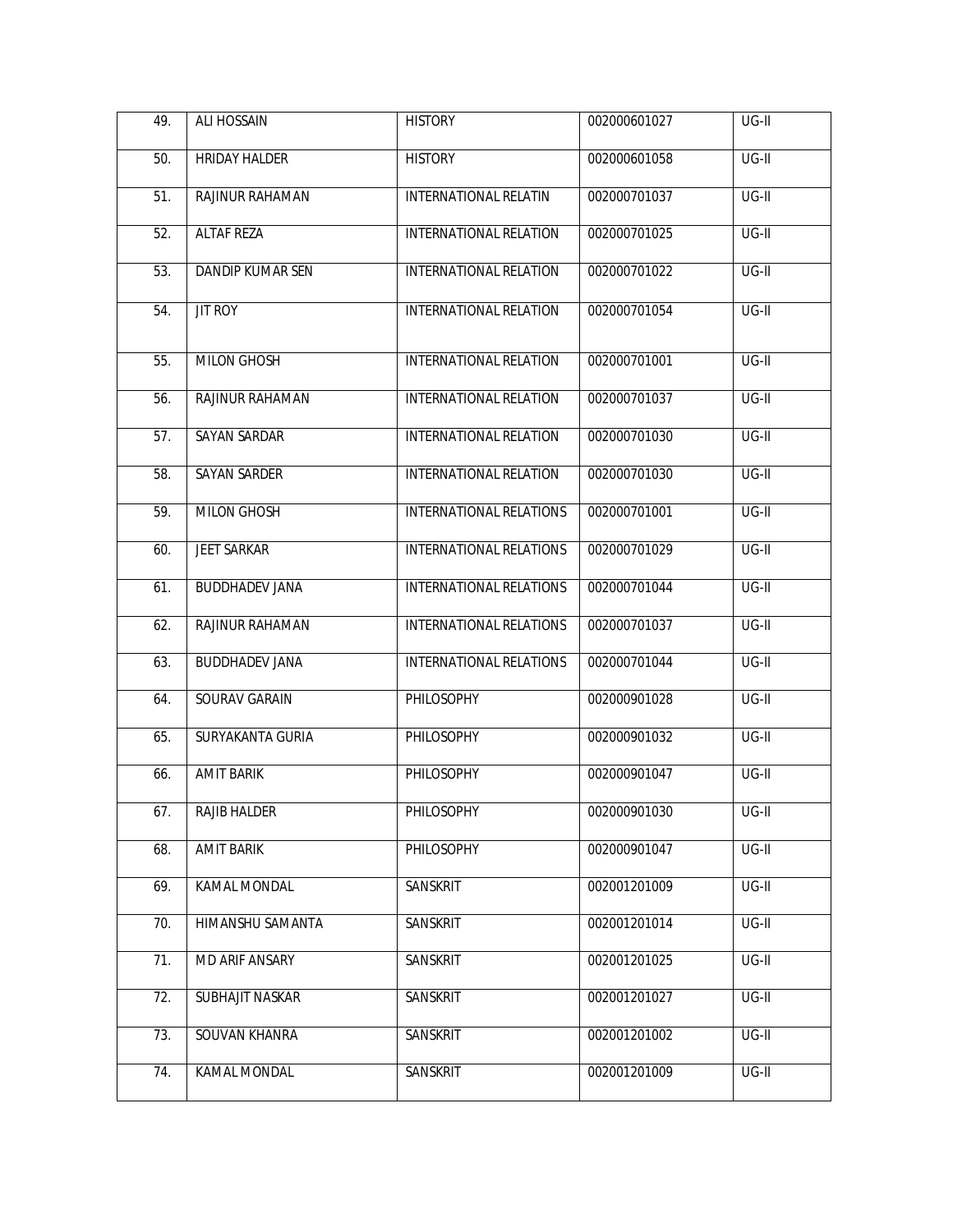| 49. | <b>ALI HOSSAIN</b>    | <b>HISTORY</b>                 | 002000601027 | UG-II   |
|-----|-----------------------|--------------------------------|--------------|---------|
| 50. | <b>HRIDAY HALDER</b>  | <b>HISTORY</b>                 | 002000601058 | $UG-II$ |
| 51. | RAJINUR RAHAMAN       | <b>INTERNATIONAL RELATIN</b>   | 002000701037 | $UG-II$ |
| 52. | <b>ALTAF REZA</b>     | INTERNATIONAL RELATION         | 002000701025 | UG-II   |
| 53. | DANDIP KUMAR SEN      | INTERNATIONAL RELATION         | 002000701022 | UG-II   |
| 54. | <b>JIT ROY</b>        | INTERNATIONAL RELATION         | 002000701054 | $UG-II$ |
| 55. | <b>MILON GHOSH</b>    | <b>INTERNATIONAL RELATION</b>  | 002000701001 | $UG-II$ |
| 56. | RAJINUR RAHAMAN       | <b>INTERNATIONAL RELATION</b>  | 002000701037 | $UG-II$ |
| 57. | <b>SAYAN SARDAR</b>   | <b>INTERNATIONAL RELATION</b>  | 002000701030 | $UG-II$ |
| 58. | <b>SAYAN SARDER</b>   | <b>INTERNATIONAL RELATION</b>  | 002000701030 | $UG-II$ |
| 59. | <b>MILON GHOSH</b>    | <b>INTERNATIONAL RELATIONS</b> | 002000701001 | $UG-II$ |
| 60. | <b>JEET SARKAR</b>    | <b>INTERNATIONAL RELATIONS</b> | 002000701029 | $UG-II$ |
| 61. | <b>BUDDHADEV JANA</b> | <b>INTERNATIONAL RELATIONS</b> | 002000701044 | $UG-II$ |
| 62. | RAJINUR RAHAMAN       | <b>INTERNATIONAL RELATIONS</b> | 002000701037 | $UG-II$ |
| 63. | <b>BUDDHADEV JANA</b> | INTERNATIONAL RELATIONS        | 002000701044 | UG-II   |
| 64. | SOURAV GARAIN         | <b>PHILOSOPHY</b>              | 002000901028 | $UG-II$ |
| 65. | SURYAKANTA GURIA      | PHILOSOPHY                     | 002000901032 | $UG-II$ |
| 66. | <b>AMIT BARIK</b>     | PHILOSOPHY                     | 002000901047 | $UG-II$ |
| 67. | <b>RAJIB HALDER</b>   | PHILOSOPHY                     | 002000901030 | $UG-II$ |
| 68. | <b>AMIT BARIK</b>     | PHILOSOPHY                     | 002000901047 | $UG-II$ |
| 69. | KAMAL MONDAL          | SANSKRIT                       | 002001201009 | UG-II   |
| 70. | HIMANSHU SAMANTA      | <b>SANSKRIT</b>                | 002001201014 | $UG-II$ |
| 71. | MD ARIF ANSARY        | SANSKRIT                       | 002001201025 | $UG-II$ |
| 72. | SUBHAJIT NASKAR       | SANSKRIT                       | 002001201027 | $UG-II$ |
| 73. | SOUVAN KHANRA         | SANSKRIT                       | 002001201002 | UG-II   |
| 74. | KAMAL MONDAL          | SANSKRIT                       | 002001201009 | $UG-II$ |